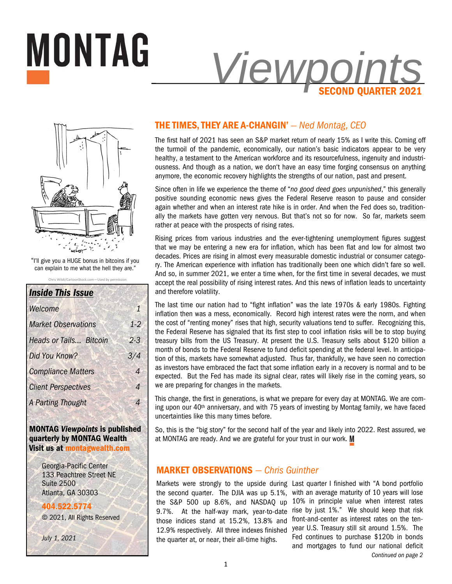



**MONTAG** 

Chris Wildt/CartoonStock.com-Used by permi "I'll give you a HUGE bonus in bitcoins if you can explain to me what the hell they are."

| <b>Inside This Issue</b>      |                |
|-------------------------------|----------------|
| Welcome                       | 1              |
| <b>Market Observations</b>    | $1-2$          |
| <b>Heads or Tails Bitcoin</b> | 23             |
| Did You Know?                 | 3/4            |
| <b>Compliance Matters</b>     | $\overline{A}$ |
| <b>Client Perspectives</b>    | 4              |
| A Parting Thought             | Λ              |

**MONTAG** *Viewpoints* **is published quarterly by MONTAG Wealth Visit us at montagwealth.com** 

> Georgia-Pacific Center 133 Peachtree Street NE Suite 2500 Atlanta, GA 30303

**404.522.5774** © 2021, All Rights Reserved

*July 1, 2021* 

## **THE TIMES, THEY ARE A-CHANGIN'** *— Ned Montag, CEO*

The first half of 2021 has seen an S&P market return of nearly 15% as I write this. Coming off the turmoil of the pandemic, economically, our nation's basic indicators appear to be very healthy, a testament to the American workforce and its resourcefulness, ingenuity and industriousness. And though as a nation, we don't have an easy time forging consensus on anything anymore, the economic recovery highlights the strengths of our nation, past and present.

Since often in life we experience the theme of "*no good deed goes unpunished*," this generally positive sounding economic news gives the Federal Reserve reason to pause and consider again whether and when an interest rate hike is in order. And when the Fed does so, traditionally the markets have gotten very nervous. But that's not so for now. So far, markets seem rather at peace with the prospects of rising rates.

Rising prices from various industries and the ever-tightening unemployment figures suggest that we may be entering a new era for inflation, which has been flat and low for almost two decades. Prices are rising in almost every measurable domestic industrial or consumer category. The American experience with inflation has traditionally been one which didn't fare so well. And so, in summer 2021, we enter a time when, for the first time in several decades, we must accept the real possibility of rising interest rates. And this news of inflation leads to uncertainty and therefore volatility.

The last time our nation had to "fight inflation" was the late 1970s & early 1980s. Fighting inflation then was a mess, economically. Record high interest rates were the norm, and when the cost of "renting money" rises that high, security valuations tend to suffer. Recognizing this, the Federal Reserve has signaled that its first step to cool inflation risks will be to stop buying treasury bills from the US Treasury. At present the U.S. Treasury sells about \$120 billion a month of bonds to the Federal Reserve to fund deficit spending at the federal level. In anticipation of this, markets have somewhat adjusted. Thus far, thankfully, we have seen no correction as investors have embraced the fact that some inflation early in a recovery is normal and to be expected. But the Fed has made its signal clear, rates will likely rise in the coming years, so we are preparing for changes in the markets.

This change, the first in generations, is what we prepare for every day at MONTAG. We are coming upon our  $40<sup>th</sup>$  anniversary, and with 75 years of investing by Montag family, we have faced uncertainties like this many times before.

So, this is the "big story" for the second half of the year and likely into 2022. Rest assured, we at MONTAG are ready. And we are grateful for your trust in our work. M

#### **MARKET OBSERVATIONS** *— Chris Guinther*

the second quarter. The DJIA was up 5.1%, the S&P 500 up 8.6%, and NASDAQ up 9.7%. At the half-way mark, year-to-date those indices stand at 15.2%, 13.8% and 12.9% respectively. All three indexes finished the quarter at, or near, their all-time highs.

*Continued on page 2*  Markets were strongly to the upside during Last quarter I finished with "A bond portfolio with an average maturity of 10 years will lose 10% in principle value when interest rates rise by just 1%." We should keep that risk front-and-center as interest rates on the tenyear U.S. Treasury still sit around 1.5%. The Fed continues to purchase \$120b in bonds and mortgages to fund our national deficit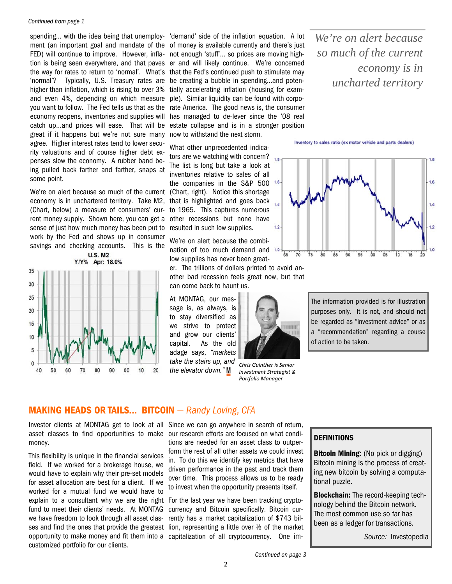#### *Continued from page 1*

FED) will continue to improve. However, infla- not enough 'stuff'... so prices are moving high-'normal'? Typically, U.S. Treasury rates are be creating a bubble in spending…and potenhigher than inflation, which is rising to over 3% and even 4%, depending on which measure ple). Similar liquidity can be found with corpoeconomy reopens, inventories and supplies will great if it happens but we're not sure many agree. Higher interest rates tend to lower security valuations and of course higher debt expenses slow the economy. A rubber band being pulled back farther and farther, snaps at some point.

We're on alert because so much of the current (Chart, right). Notice this shortage economy is in unchartered territory. Take M2, (Chart, below) a measure of consumers' current money supply. Shown here, you can get a sense of just how much money has been put to work by the Fed and shows up in consumer savings and checking accounts. This is the



spending… with the idea being that unemploy-'demand' side of the inflation equation. A lot ment (an important goal and mandate of the of money is available currently and there's just tion is being seen everywhere, and that paves er and will likely continue. We're concerned the way for rates to return to 'normal'. What's that the Fed's continued push to stimulate may you want to follow. The Fed tells us that as the rate America. The good news is, the consumer catch up…and prices will ease. That will be estate collapse and is in a stronger position tially accelerating inflation (housing for examhas managed to de-lever since the '08 real now to withstand the next storm.

> What other unprecedented indicators are we watching with concern?  $_{1.8}$ The list is long but take a look at inventories relative to sales of all the companies in the S&P 500 1.6 that is highlighted and goes back to 1965. This captures numerous other recessions but none have resulted in such low supplies.

> We're on alert because the combination of too much demand and 1.0 low supplies has never been great-

er. The trillions of dollars printed to avoid another bad recession feels great now, but that can come back to haunt us.

At MONTAG, our message is, as always, is to stay diversified as we strive to protect and grow our clients' capital. As the old adage says, *"markets take the stairs up, and the elevator down."* 



*Chris Guinther is Senior Investment Strategist & Porƞolio Manager* 

*We're on alert because so much of the current economy is in uncharted territory* 

Inventory to sales ratio (ex motor vehicle and parts dealers)



The information provided is for illustration purposes only. It is not, and should not be regarded as "investment advice" or as a "recommendation" regarding a course of action to be taken.

# **MAKING HEADS OR TAILS... BITCOIN** *— Randy Loving, CFA*

Investor clients at MONTAG get to look at all Since we can go anywhere in search of return, money.

This flexibility is unique in the financial services field. If we worked for a brokerage house, we would have to explain why their pre-set models for asset allocation are best for a client. If we worked for a mutual fund we would have to explain to a consultant why we are the right For the last year we have been tracking cryptofund to meet their clients' needs. At MONTAG we have freedom to look through all asset clascustomized portfolio for our clients.

asset classes to find opportunities to make our research efforts are focused on what conditions are needed for an asset class to outperform the rest of all other assets we could invest in. To do this we identify key metrics that have driven performance in the past and track them over time. This process allows us to be ready to invest when the opportunity presents itself.

ses and find the ones that provide the greatest lion, representing a little over ½ of the market opportunity to make money and fit them into a capitalization of all cryptocurrency. One imcurrency and Bitcoin specifically. Bitcoin currently has a market capitalization of \$743 bil-

#### **DEFINITIONS**

**Bitcoin Mining:** (No pick or digging) Bitcoin mining is the process of creating new bitcoin by solving a computational puzzle.

**Blockchain:** The record-keeping technology behind the Bitcoin network. The most common use so far has been as a ledger for transactions.

*Source:* Investopedia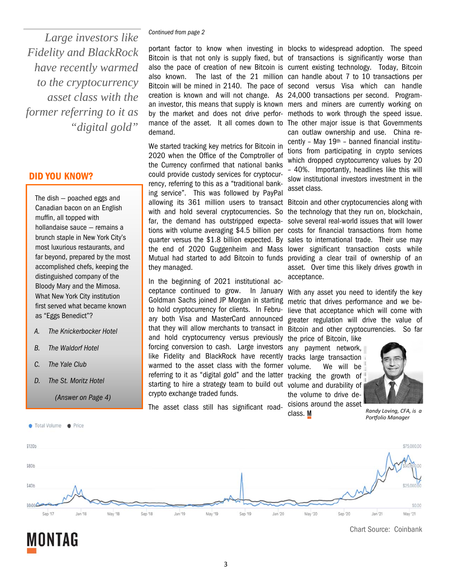*Continued from page 2 Large investors like Fidelity and BlackRock have recently warmed to the cryptocurrency asset class with the former referring to it as "digital gold"* 

#### **DID YOU KNOW?**

The dish — poached eggs and Canadian bacon on an English muffin, all topped with hollandaise sauce — remains a brunch staple in New York City's most luxurious restaurants, and far beyond, prepared by the most accomplished chefs, keeping the distinguished company of the Bloody Mary and the Mimosa. What New York City institution first served what became known as "Eggs Benedict"?

- *A. The Knickerbocker Hotel*
- *B. The Waldorf Hotel*
- *C. The Yale Club*

Total Volume @ Price

*D. The St. Moritz Hotel* 

*(Answer on Page 4)* 

portant factor to know when investing in blocks to widespread adoption. The speed Bitcoin is that not only is supply fixed, but of transactions is significantly worse than also the pace of creation of new Bitcoin is current existing technology. Today, Bitcoin also known. The last of the 21 million can handle about 7 to 10 transactions per Bitcoin will be mined in 2140. The pace of second versus Visa which can handle creation is known and will not change. As 24,000 transactions per second. Programan investor, this means that supply is known mers and miners are currently working on by the market and does not drive perfor-methods to work through the speed issue. mance of the asset. It all comes down to The other major issue is that Governments demand.

We started tracking key metrics for Bitcoin in 2020 when the Office of the Comptroller of the Currency confirmed that national banks could provide custody services for cryptocurrency, referring to this as a "traditional banking service". This was followed by PayPal allowing its 361 million users to transact with and hold several cryptocurrencies. So far, the demand has outstripped expectations with volume averaging \$4.5 billion per costs for financial transactions from home quarter versus the \$1.8 billion expected. By sales to international trade. Their use may the end of 2020 Guggenheim and Mass lower significant transaction costs while Mutual had started to add Bitcoin to funds providing a clear trail of ownership of an they managed.

In the beginning of 2021 institutional acceptance continued to grow. In January With any asset you need to identify the key Goldman Sachs joined JP Morgan in starting to hold cryptocurrency for clients. In February both Visa and MasterCard announced that they will allow merchants to transact in and hold cryptocurrency versus previously the price of Bitcoin, like forcing conversion to cash. Large investors like Fidelity and BlackRock have recently warmed to the asset class with the former referring to it as "digital gold" and the latter starting to hire a strategy team to build out volume and durability of crypto exchange traded funds.

The asset class still has significant road-

can outlaw ownership and use. China recently – May 19th – banned financial institutions from participating in crypto services which dropped cryptocurrency values by 20 – 40%. Importantly, headlines like this will slow institutional investors investment in the asset class.

Bitcoin and other cryptocurrencies along with the technology that they run on, blockchain, solve several real-world issues that will lower asset. Over time this likely drives growth in acceptance.

metric that drives performance and we believe that acceptance which will come with greater regulation will drive the value of Bitcoin and other cryptocurrencies. So far

any payment network, tracks large transaction volume. We will be tracking the growth of the volume to drive decisions around the asset class. M



*Randy Loving, CFA, is a Porƞolio Manager* 



**MONTAG** 

Chart Source: Coinbank